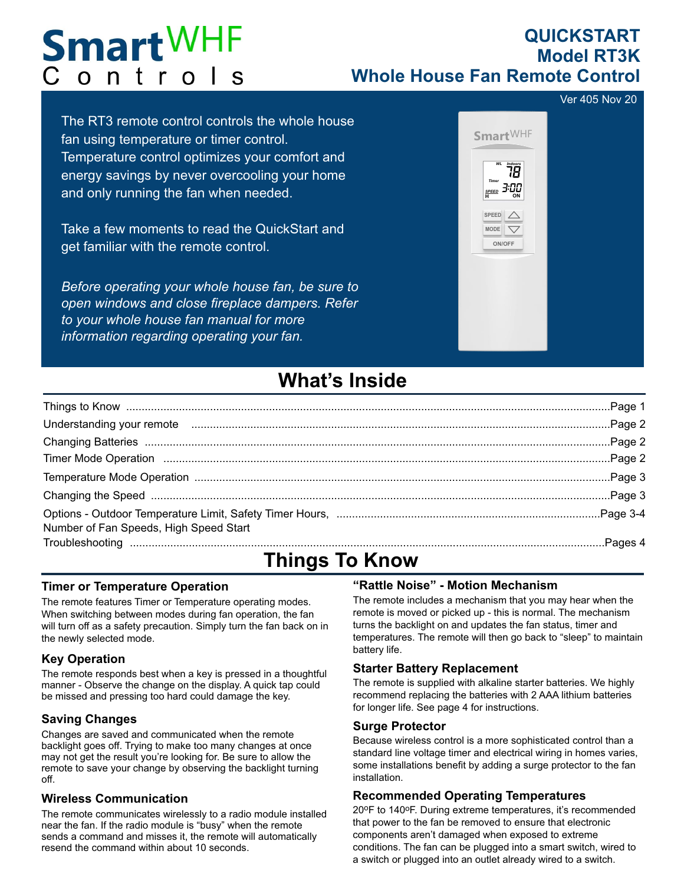# **Smart**WHF Controls

### **QUICKSTART Model RT3K Whole House Fan Remote Control**

Ver 405 Nov 20

The RT3 remote control controls the whole house fan using temperature or timer control. Temperature control optimizes your comfort and energy savings by never overcooling your home and only running the fan when needed.

Take a few moments to read the QuickStart and get familiar with the remote control.

*Before operating your whole house fan, be sure to open windows and close fireplace dampers. Refer to your whole house fan manual for more information regarding operating your fan.*



### **What's Inside**

| Understanding your remote manufactured and according to the Page 2 |  |
|--------------------------------------------------------------------|--|
|                                                                    |  |
|                                                                    |  |
|                                                                    |  |
|                                                                    |  |
| Number of Fan Speeds, High Speed Start                             |  |
|                                                                    |  |

## **Things To Know**

#### **Timer or Temperature Operation**

The remote features Timer or Temperature operating modes. When switching between modes during fan operation, the fan will turn off as a safety precaution. Simply turn the fan back on in the newly selected mode.

#### **Key Operation**

The remote responds best when a key is pressed in a thoughtful manner - Observe the change on the display. A quick tap could be missed and pressing too hard could damage the key.

Changes are saved and communicated when the remote backlight goes off. Trying to make too many changes at once may not get the result you're looking for. Be sure to allow the remote to save your change by observing the backlight turning off. **Saving Changes** Saving Changes **Surge Protector** 

#### **Wireless Communication**

The remote communicates wirelessly to a radio module installed near the fan. If the radio module is "busy" when the remote sends a command and misses it, the remote will automatically resend the command within about 10 seconds.

### **"Rattle Noise" - Motion Mechanism**

The remote includes a mechanism that you may hear when the remote is moved or picked up - this is normal. The mechanism turns the backlight on and updates the fan status, timer and temperatures. The remote will then go back to "sleep" to maintain battery life.

#### **Starter Battery Replacement**

The remote is supplied with alkaline starter batteries. We highly recommend replacing the batteries with 2 AAA lithium batteries for longer life. See page 4 for instructions.

Because wireless control is a more sophisticated control than a standard line voltage timer and electrical wiring in homes varies, some installations benefit by adding a surge protector to the fan installation.

#### **Recommended Operating Temperatures**

20oF to 140oF. During extreme temperatures, it's recommended that power to the fan be removed to ensure that electronic components aren't damaged when exposed to extreme conditions. The fan can be plugged into a smart switch, wired to a switch or plugged into an outlet already wired to a switch.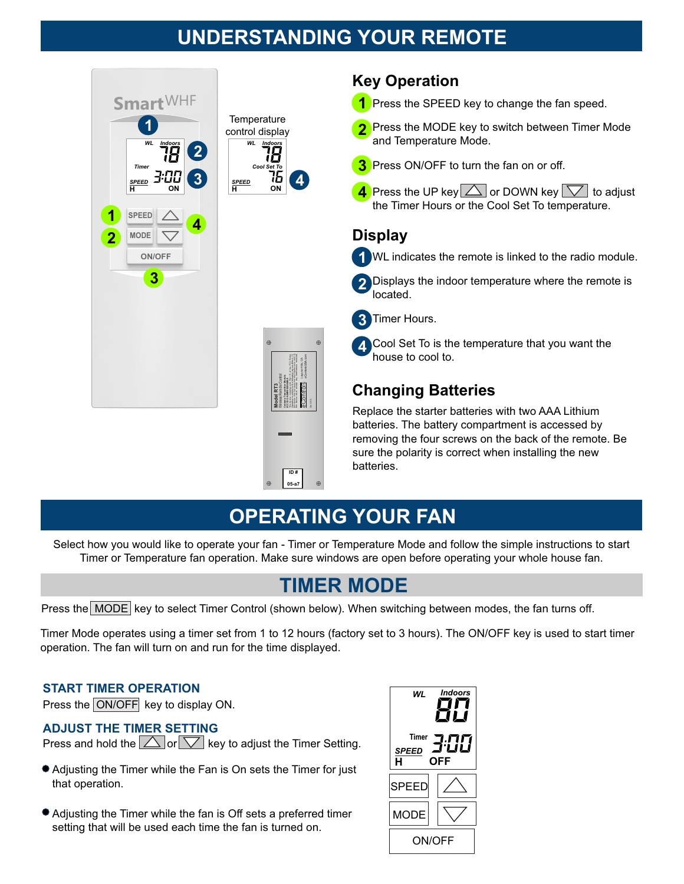### **UNDERSTANDING YOUR REMOTE**



### **Key Operation**

- **1** Press the SPEED key to change the fan speed.
- Press the MODE key to switch between Timer Mode and Temperature Mode. **2**
- **3** Press ON/OFF to turn the fan on or off.
- **4** Press the UP key $|\triangle|$  or DOWN key  $|\heartsuit|$  to adjust the Timer Hours or the Cool Set To temperature.

### **Display**

WL indicates the remote is linked to the radio module. **1**

Displays the indoor temperature where the remote is located. **2**

Timer Hours. **3**

Cool Set To is the temperature that you want the house to cool to. **4**

### **Changing Batteries**

Replace the starter batteries with two AAA Lithium batteries. The battery compartment is accessed by removing the four screws on the back of the remote. Be sure the polarity is correct when installing the new batteries.

### **OPERATING YOUR FAN**

Select how you would like to operate your fan - Timer or Temperature Mode and follow the simple instructions to start Timer or Temperature fan operation. Make sure windows are open before operating your whole house fan.

### **TIMER MODE**

Press the MODE key to select Timer Control (shown below). When switching between modes, the fan turns off.

Contains Then entitles Module<br>For D. D. O. Abendales with Part 15 of the PCC Rules.<br>Dematoria subject to the Midwing Lea conditions (1)<br>The device may be considered to the Midwing and CO<br>the device may be considered to the

**ID # 05-a7** Laguna Hills, CA eCONTOIS econtatus.u.v.<br>ECONTOIS econtatus.h.com

Wireless Remote Control

Ver. X.XX

Timer Mode operates using a timer set from 1 to 12 hours (factory set to 3 hours). The ON/OFF key is used to start timer operation. The fan will turn on and run for the time displayed.

#### **START TIMER OPERATION**

Press the ON/OFF key to display ON.

#### **ADJUST THE TIMER SETTING**

Press and hold the  $\boxed{\triangle}$  or  $\boxed{\nabla}$  key to adjust the Timer Setting.

- Adjusting the Timer while the Fan is On sets the Timer for just that operation.
- Adjusting the Timer while the fan is Off sets a preferred timer setting that will be used each time the fan is turned on.

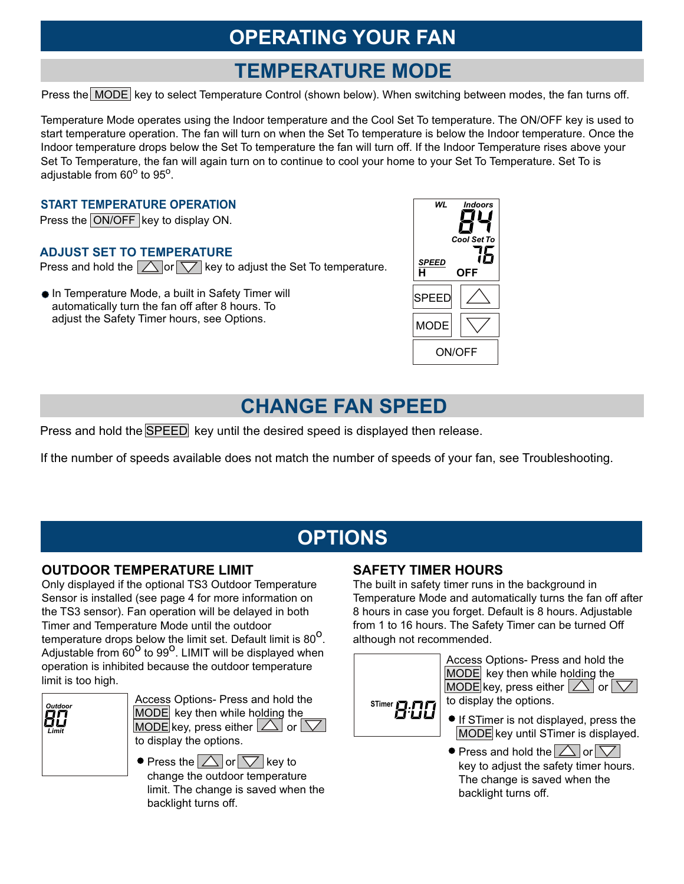## **OPERATING YOUR FAN**

### **TEMPERATURE MODE**

Press the MODE key to select Temperature Control (shown below). When switching between modes, the fan turns off.

Temperature Mode operates using the Indoor temperature and the Cool Set To temperature. The ON/OFF key is used to start temperature operation. The fan will turn on when the Set To temperature is below the Indoor temperature. Once the Indoor temperature drops below the Set To temperature the fan will turn off. If the Indoor Temperature rises above your Set To Temperature, the fan will again turn on to continue to cool your home to your Set To Temperature. Set To is adjustable from 60° to 95°.

#### **START TEMPERATURE OPERATION**

Press the ON/OFF key to display ON.

#### **ADJUST SET TO TEMPERATURE**

Press and hold the  $\Box$  or  $\Box$  key to adjust the Set To temperature.

In Temperature Mode, a built in Safety Timer will automatically turn the fan off after 8 hours. To adjust the Safety Timer hours, see Options.



### **CHANGE FAN SPEED**

Press and hold the SPEED key until the desired speed is displayed then release.

If the number of speeds available does not match the number of speeds of your fan, see Troubleshooting.

## **OPTIONS**

#### **OUTDOOR TEMPERATURE LIMIT SAFETY TIMER HOURS**

Only displayed if the optional TS3 Outdoor Temperature Sensor is installed (see page 4 for more information on the TS3 sensor). Fan operation will be delayed in both Timer and Temperature Mode until the outdoor temperature drops below the limit set. Default limit is 80<sup>o</sup>. Adjustable from  $60^{\circ}$  to 99<sup>o</sup>. LIMIT will be displayed when operation is inhibited because the outdoor temperature limit is too high.



Access Options- Press and hold the **STimer P.P.F.**<br>MODE key then while holding the **STIMP** MODE key then while holding the MODE key, press either  $|\triangle|$  or  $|\nabla|$ to display the options.

 $\bullet$  Press the  $\Box$  or  $\triangledown$  key to change the outdoor temperature limit. The change is saved when the backlight turns off.

The built in safety timer runs in the background in Temperature Mode and automatically turns the fan off after 8 hours in case you forget. Default is 8 hours. Adjustable from 1 to 16 hours. The Safety Timer can be turned Off although not recommended.



Access Options- Press and hold the MODE key then while holding the MODE key, press either  $|\triangle|$  or  $|\nabla|$ to display the options.

- If STimer is not displayed, press the MODE key until STimer is displayed.
- $\bullet$  Press and hold the  $\triangle$  or  $\triangledown$ key to adjust the safety timer hours. The change is saved when the backlight turns off.